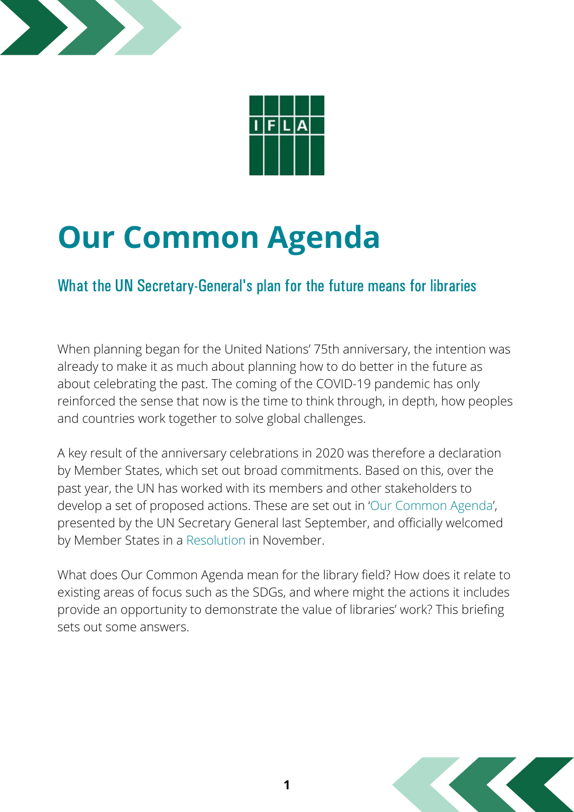



# **Our Common Agenda**

#### What the UN Secretary-General's plan for the future means for libraries

When planning began for the United Nations' 75th anniversary, the intention was already to make it as much about planning how to do better in the future as about celebrating the past. The coming of the COVID-19 pandemic has only reinforced the sense that now is the time to think through, in depth, how peoples and countries work together to solve global challenges.

A key result of the anniversary celebrations in 2020 was therefore a declaration by Member States, which set out broad commitments. Based on this, over the past year, the UN has worked with its members and other stakeholders to develop a set of proposed actions. These are set out in 'Our [Common](https://www.un.org/en/content/common-agenda-report/) Agenda', presented by the UN Secretary General last September, and officially welcomed by Member States in a [Resolution](https://undocs.org/en/A/RES/76/6) in November.

What does Our Common Agenda mean for the library field? How does it relate to existing areas of focus such as the SDGs, and where might the actions it includes provide an opportunity to demonstrate the value of libraries' work? This briefing sets out some answers.

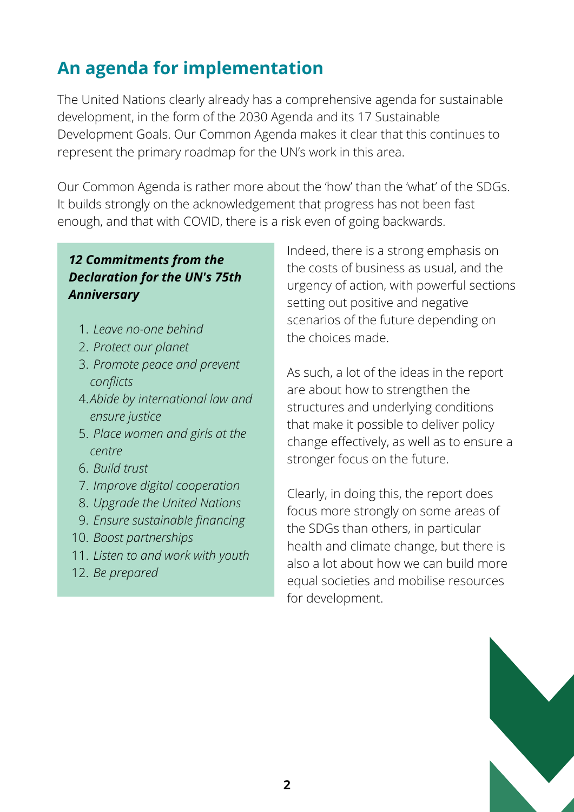# **An agenda for implementation**

The United Nations clearly already has a comprehensive agenda for sustainable development, in the form of the 2030 Agenda and its 17 Sustainable Development Goals. Our Common Agenda makes it clear that this continues to represent the primary roadmap for the UN's work in this area.

Our Common Agenda is rather more about the 'how' than the 'what' of the SDGs. It builds strongly on the acknowledgement that progress has not been fast enough, and that with COVID, there is a risk even of going backwards.

#### *12 Commitments from the Declaration for the UN's 75th Anniversary*

- *Leave no-one behind* 1.
- *Protect our planet* 2.
- *Promote peace and prevent* 3. *conflicts*
- *Abide by international law and* 4. *ensure justice*
- *Place women and girls at the* 5. *centre*
- *Build trust* 6.
- *Improve digital cooperation* 7.
- *Upgrade the United Nations* 8.
- *Ensure sustainable financing* 9.
- *Boost partnerships* 10.
- *Listen to and work with youth* 11.
- *Be prepared* 12.

Indeed, there is a strong emphasis on the costs of business as usual, and the urgency of action, with powerful sections setting out positive and negative scenarios of the future depending on the choices made.

As such, a lot of the ideas in the report are about how to strengthen the structures and underlying conditions that make it possible to deliver policy change effectively, as well as to ensure a stronger focus on the future.

Clearly, in doing this, the report does focus more strongly on some areas of the SDGs than others, in particular health and climate change, but there is also a lot about how we can build more equal societies and mobilise resources for development.

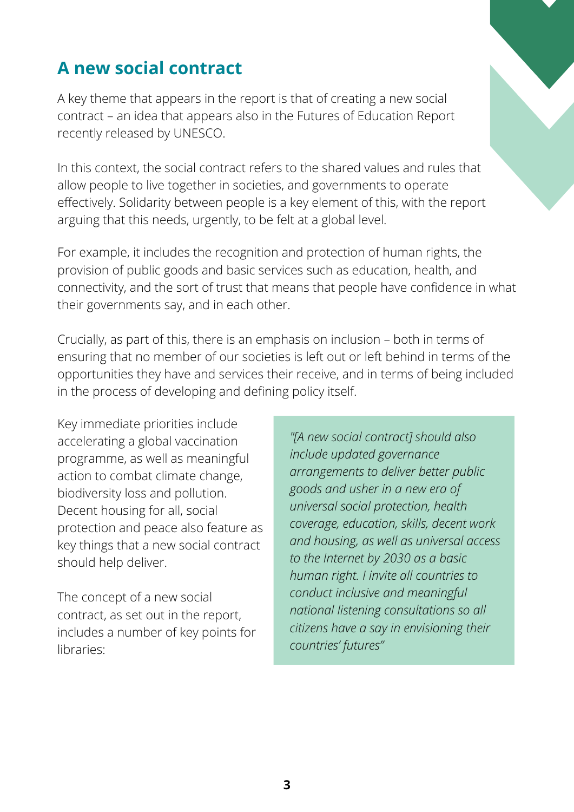# **A new social contract**

A key theme that appears in the report is that of creating a new social contract – an idea that appears also in the Futures of Education Report recently released by UNESCO.

In this context, the social contract refers to the shared values and rules that allow people to live together in societies, and governments to operate effectively. Solidarity between people is a key element of this, with the report arguing that this needs, urgently, to be felt at a global level.

For example, it includes the recognition and protection of human rights, the provision of public goods and basic services such as education, health, and connectivity, and the sort of trust that means that people have confidence in what their governments say, and in each other.

Crucially, as part of this, there is an emphasis on inclusion – both in terms of ensuring that no member of our societies is left out or left behind in terms of the opportunities they have and services their receive, and in terms of being included in the process of developing and defining policy itself.

Key immediate priorities include accelerating a global vaccination programme, as well as meaningful action to combat climate change, biodiversity loss and pollution. Decent housing for all, social protection and peace also feature as key things that a new social contract should help deliver.

The concept of a new social contract, as set out in the report, includes a number of key points for libraries:

*"[A new social contract] should also include updated governance arrangements to deliver better public goods and usher in a new era of universal social protection, health coverage, education, skills, decent work and housing, as well as universal access to the Internet by 2030 as a basic human right. I invite all countries to conduct inclusive and meaningful national listening consultations so all citizens have a say in envisioning their countries' futures"*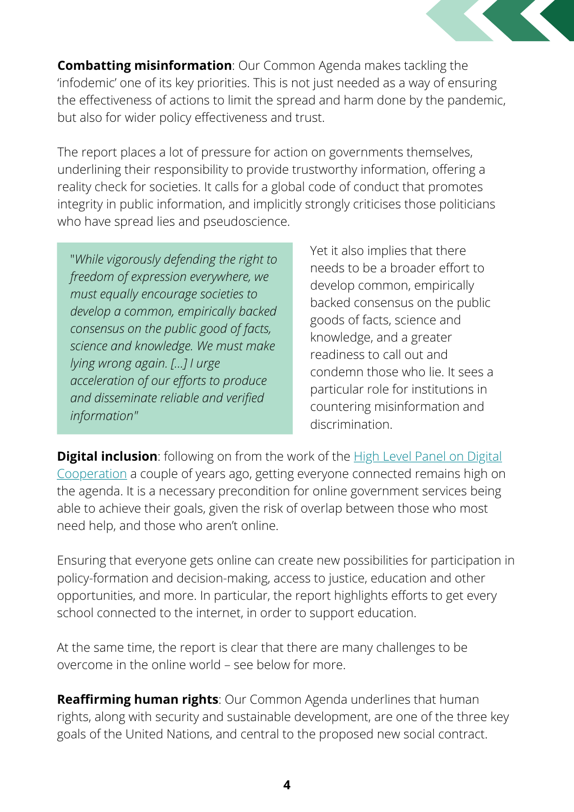

**Combatting misinformation**: Our Common Agenda makes tackling the 'infodemic' one of its key priorities. This is not just needed as a way of ensuring the effectiveness of actions to limit the spread and harm done by the pandemic, but also for wider policy effectiveness and trust.

The report places a lot of pressure for action on governments themselves, underlining their responsibility to provide trustworthy information, offering a reality check for societies. It calls for a global code of conduct that promotes integrity in public information, and implicitly strongly criticises those politicians who have spread lies and pseudoscience.

"*While vigorously defending the right to freedom of expression everywhere, we must equally encourage societies to develop a common, empirically backed consensus on the public good of facts, science and knowledge. We must make lying wrong again. [...] I urge acceleration of our efforts to produce and disseminate reliable and verified information"*

Yet it also implies that there needs to be a broader effort to develop common, empirically backed consensus on the public goods of facts, science and knowledge, and a greater readiness to call out and condemn those who lie. It sees a particular role for institutions in countering misinformation and discrimination.

**Digital inclusion**: following on from the work of the **High Level Panel on Digital** [Cooperation](https://www.un.org/en/sg-digital-cooperation-panel) a couple of years ago, getting everyone connected remains high on the agenda. It is a necessary precondition for online government services being able to achieve their goals, given the risk of overlap between those who most need help, and those who aren't online.

Ensuring that everyone gets online can create new possibilities for participation in policy-formation and decision-making, access to justice, education and other opportunities, and more. In particular, the report highlights efforts to get every school connected to the internet, in order to support education.

At the same time, the report is clear that there are many challenges to be overcome in the online world – see below for more.

**Reaffirming human rights**: Our Common Agenda underlines that human rights, along with security and sustainable development, are one of the three key goals of the United Nations, and central to the proposed new social contract.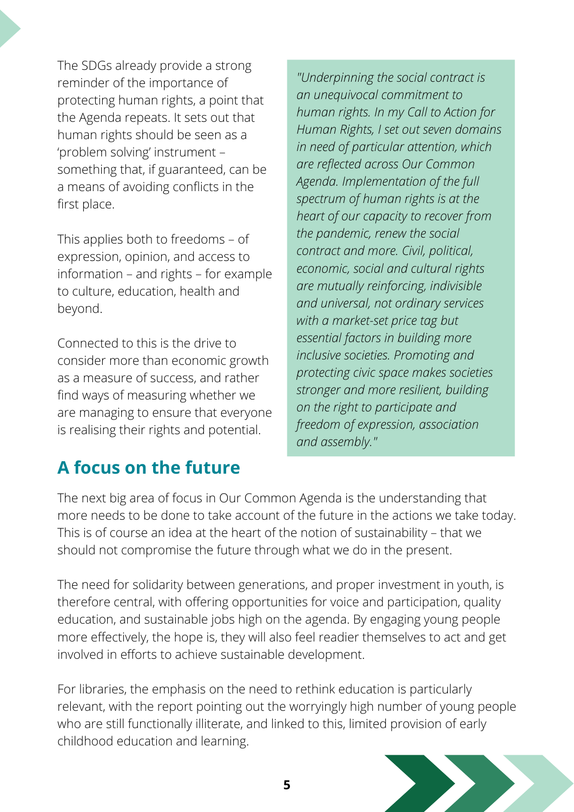The SDGs already provide a strong reminder of the importance of protecting human rights, a point that the Agenda repeats. It sets out that human rights should be seen as a 'problem solving' instrument – something that, if guaranteed, can be a means of avoiding conflicts in the first place.

This applies both to freedoms – of expression, opinion, and access to information – and rights – for example to culture, education, health and beyond.

Connected to this is the drive to consider more than economic growth as a measure of success, and rather find ways of measuring whether we are managing to ensure that everyone is realising their rights and potential.

*"Underpinning the social contract is an unequivocal commitment to human rights. In my Call to Action for Human Rights, I set out seven domains in need of particular attention, which are reflected across Our Common Agenda. Implementation of the full spectrum of human rights is at the heart of our capacity to recover from the pandemic, renew the social contract and more. Civil, political, economic, social and cultural rights are mutually reinforcing, indivisible and universal, not ordinary services with a market-set price tag but essential factors in building more inclusive societies. Promoting and protecting civic space makes societies stronger and more resilient, building on the right to participate and freedom of expression, association and assembly."*

## **A focus on the future**

The next big area of focus in Our Common Agenda is the understanding that more needs to be done to take account of the future in the actions we take today. This is of course an idea at the heart of the notion of sustainability – that we should not compromise the future through what we do in the present.

The need for solidarity between generations, and proper investment in youth, is therefore central, with offering opportunities for voice and participation, quality education, and sustainable jobs high on the agenda. By engaging young people more effectively, the hope is, they will also feel readier themselves to act and get involved in efforts to achieve sustainable development.

For libraries, the emphasis on the need to rethink education is particularly relevant, with the report pointing out the worryingly high number of young people who are still functionally illiterate, and linked to this, limited provision of early childhood education and learning.

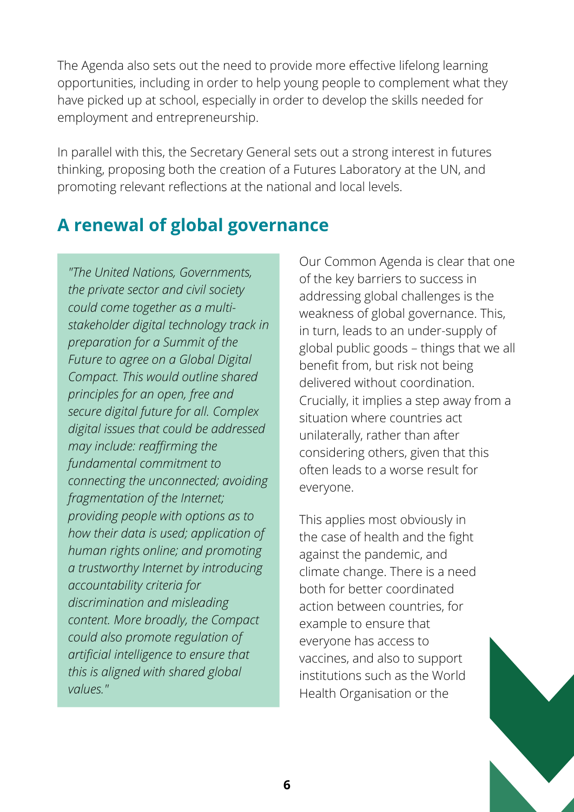The Agenda also sets out the need to provide more effective lifelong learning opportunities, including in order to help young people to complement what they have picked up at school, especially in order to develop the skills needed for employment and entrepreneurship.

In parallel with this, the Secretary General sets out a strong interest in futures thinking, proposing both the creation of a Futures Laboratory at the UN, and promoting relevant reflections at the national and local levels.

## **A renewal of global governance**

*"The United Nations, Governments, the private sector and civil society could come together as a multistakeholder digital technology track in preparation for a Summit of the Future to agree on a Global Digital Compact. This would outline shared principles for an open, free and secure digital future for all. Complex digital issues that could be addressed may include: reaffirming the fundamental commitment to connecting the unconnected; avoiding fragmentation of the Internet; providing people with options as to how their data is used; application of human rights online; and promoting a trustworthy Internet by introducing accountability criteria for discrimination and misleading content. More broadly, the Compact could also promote regulation of artificial intelligence to ensure that this is aligned with shared global values."*

Our Common Agenda is clear that one of the key barriers to success in addressing global challenges is the weakness of global governance. This, in turn, leads to an under-supply of global public goods – things that we all benefit from, but risk not being delivered without coordination. Crucially, it implies a step away from a situation where countries act unilaterally, rather than after considering others, given that this often leads to a worse result for everyone.

This applies most obviously in the case of health and the fight against the pandemic, and climate change. There is a need both for better coordinated action between countries, for example to ensure that everyone has access to vaccines, and also to support institutions such as the World Health Organisation or the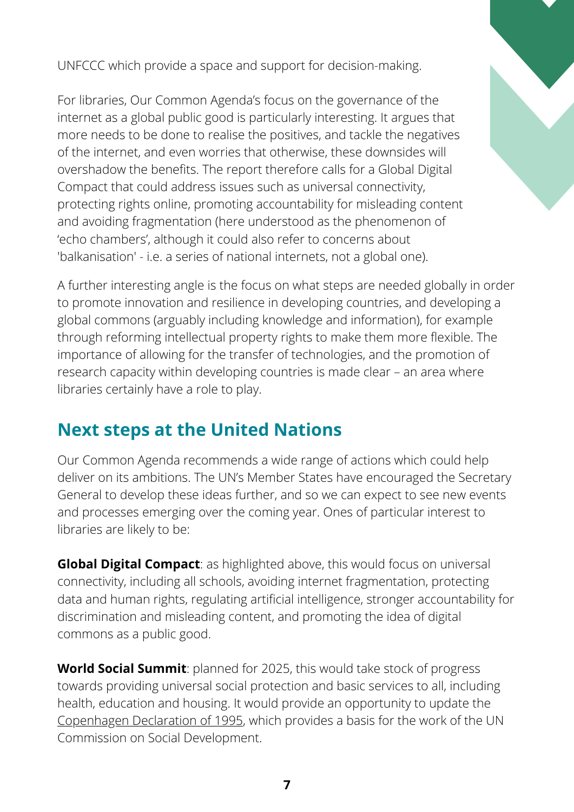UNFCCC which provide a space and support for decision-making.

For libraries, Our Common Agenda's focus on the governance of the internet as a global public good is particularly interesting. It argues that more needs to be done to realise the positives, and tackle the negatives of the internet, and even worries that otherwise, these downsides will overshadow the benefits. The report therefore calls for a Global Digital Compact that could address issues such as universal connectivity, protecting rights online, promoting accountability for misleading content and avoiding fragmentation (here understood as the phenomenon of 'echo chambers', although it could also refer to concerns about 'balkanisation' - i.e. a series of national internets, not a global one).

A further interesting angle is the focus on what steps are needed globally in order to promote innovation and resilience in developing countries, and developing a global commons (arguably including knowledge and information), for example through reforming intellectual property rights to make them more flexible. The importance of allowing for the transfer of technologies, and the promotion of research capacity within developing countries is made clear – an area where libraries certainly have a role to play.

## **Next steps at the United Nations**

Our Common Agenda recommends a wide range of actions which could help deliver on its ambitions. The UN's Member States have encouraged the Secretary General to develop these ideas further, and so we can expect to see new events and processes emerging over the coming year. Ones of particular interest to libraries are likely to be:

**Global Digital Compact**: as highlighted above, this would focus on universal connectivity, including all schools, avoiding internet fragmentation, protecting data and human rights, regulating artificial intelligence, stronger accountability for discrimination and misleading content, and promoting the idea of digital commons as a public good.

**World Social Summit**: planned for 2025, this would take stock of progress towards providing universal social protection and basic services to all, including health, education and housing. It would provide an opportunity to update the [Copenhagen](https://www.un.org/en/development/desa/population/migration/generalassembly/docs/globalcompact/A_CONF.166_9_Declaration.pdf) Declaration of 1995, which provides a basis for the work of the UN Commission on Social Development.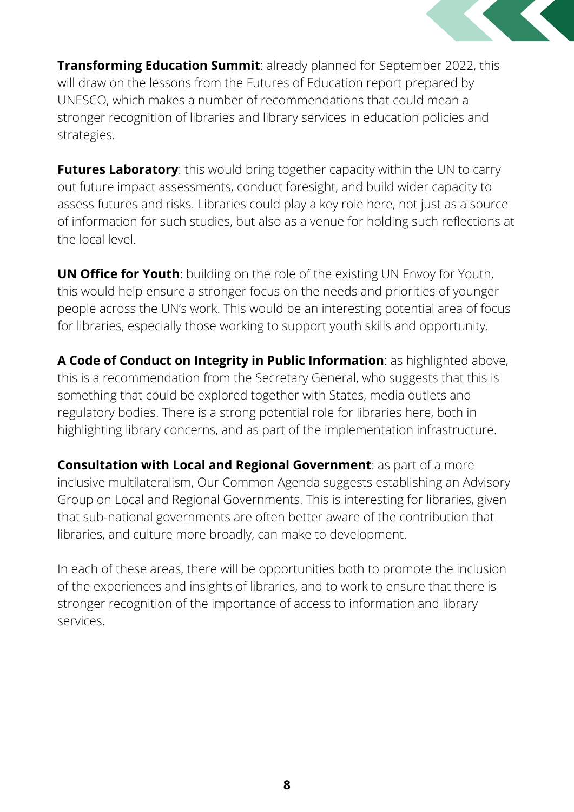

**Transforming Education Summit**: already planned for September 2022, this will draw on the lessons from the Futures of Education report prepared by UNESCO, which makes a number of recommendations that could mean a stronger recognition of libraries and library services in education policies and strategies.

**Futures Laboratory**: this would bring together capacity within the UN to carry out future impact assessments, conduct foresight, and build wider capacity to assess futures and risks. Libraries could play a key role here, not just as a source of information for such studies, but also as a venue for holding such reflections at the local level.

**UN Office for Youth**: building on the role of the existing UN Envoy for Youth, this would help ensure a stronger focus on the needs and priorities of younger people across the UN's work. This would be an interesting potential area of focus for libraries, especially those working to support youth skills and opportunity.

**A Code of Conduct on Integrity in Public Information**: as highlighted above, this is a recommendation from the Secretary General, who suggests that this is something that could be explored together with States, media outlets and regulatory bodies. There is a strong potential role for libraries here, both in highlighting library concerns, and as part of the implementation infrastructure.

**Consultation with Local and Regional Government**: as part of a more inclusive multilateralism, Our Common Agenda suggests establishing an Advisory Group on Local and Regional Governments. This is interesting for libraries, given that sub-national governments are often better aware of the contribution that libraries, and culture more broadly, can make to development.

In each of these areas, there will be opportunities both to promote the inclusion of the experiences and insights of libraries, and to work to ensure that there is stronger recognition of the importance of access to information and library services.